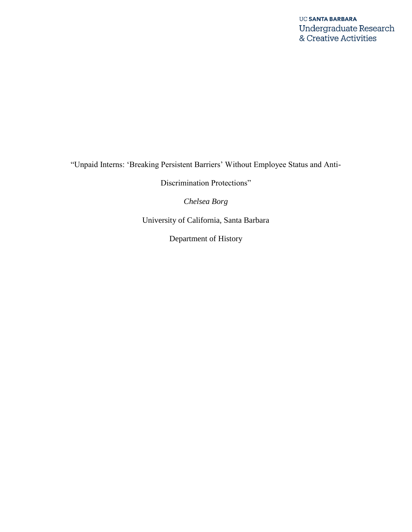"Unpaid Interns: 'Breaking Persistent Barriers' Without Employee Status and Anti-

Discrimination Protections"

*Chelsea Borg*

University of California, Santa Barbara

Department of History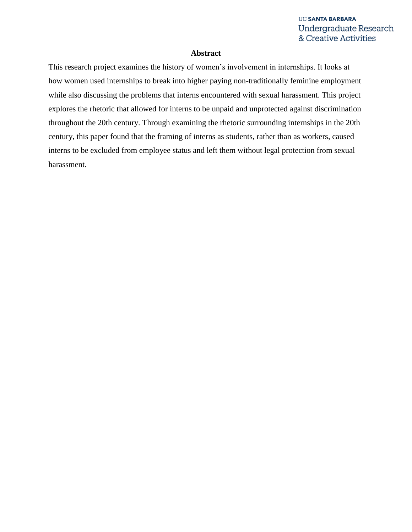#### **Abstract**

This research project examines the history of women's involvement in internships. It looks at how women used internships to break into higher paying non-traditionally feminine employment while also discussing the problems that interns encountered with sexual harassment. This project explores the rhetoric that allowed for interns to be unpaid and unprotected against discrimination throughout the 20th century. Through examining the rhetoric surrounding internships in the 20th century, this paper found that the framing of interns as students, rather than as workers, caused interns to be excluded from employee status and left them without legal protection from sexual harassment.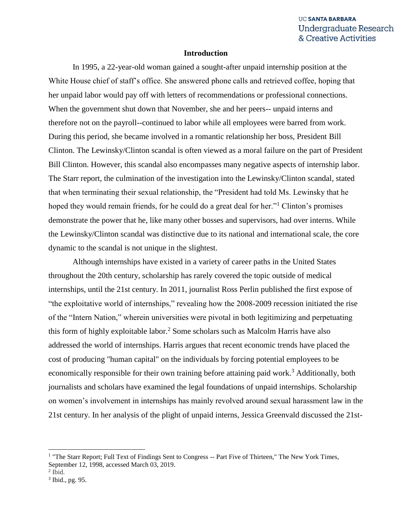#### **Introduction**

In 1995, a 22-year-old woman gained a sought-after unpaid internship position at the White House chief of staff's office. She answered phone calls and retrieved coffee, hoping that her unpaid labor would pay off with letters of recommendations or professional connections. When the government shut down that November, she and her peers-- unpaid interns and therefore not on the payroll--continued to labor while all employees were barred from work. During this period, she became involved in a romantic relationship her boss, President Bill Clinton. The Lewinsky/Clinton scandal is often viewed as a moral failure on the part of President Bill Clinton. However, this scandal also encompasses many negative aspects of internship labor. The Starr report, the culmination of the investigation into the Lewinsky/Clinton scandal, stated that when terminating their sexual relationship, the "President had told Ms. Lewinsky that he hoped they would remain friends, for he could do a great deal for her."<sup>1</sup> Clinton's promises demonstrate the power that he, like many other bosses and supervisors, had over interns. While the Lewinsky/Clinton scandal was distinctive due to its national and international scale, the core dynamic to the scandal is not unique in the slightest.

Although internships have existed in a variety of career paths in the United States throughout the 20th century, scholarship has rarely covered the topic outside of medical internships, until the 21st century. In 2011, journalist Ross Perlin published the first expose of "the exploitative world of internships," revealing how the 2008-2009 recession initiated the rise of the "Intern Nation," wherein universities were pivotal in both legitimizing and perpetuating this form of highly exploitable labor.<sup>2</sup> Some scholars such as Malcolm Harris have also addressed the world of internships. Harris argues that recent economic trends have placed the cost of producing "human capital" on the individuals by forcing potential employees to be economically responsible for their own training before attaining paid work.<sup>3</sup> Additionally, both journalists and scholars have examined the legal foundations of unpaid internships. Scholarship on women's involvement in internships has mainly revolved around sexual harassment law in the 21st century. In her analysis of the plight of unpaid interns, Jessica Greenvald discussed the 21st-

<sup>&</sup>lt;sup>1</sup> "The Starr Report; Full Text of Findings Sent to Congress -- Part Five of Thirteen," The New York Times, September 12, 1998, accessed March 03, 2019.

<sup>2</sup> Ibid.

<sup>3</sup> Ibid., pg. 95.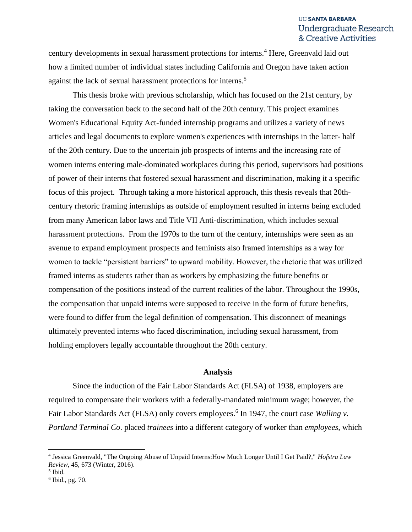century developments in sexual harassment protections for interns.<sup>4</sup> Here, Greenvald laid out how a limited number of individual states including California and Oregon have taken action against the lack of sexual harassment protections for interns.<sup>5</sup>

This thesis broke with previous scholarship, which has focused on the 21st century, by taking the conversation back to the second half of the 20th century. This project examines Women's Educational Equity Act-funded internship programs and utilizes a variety of news articles and legal documents to explore women's experiences with internships in the latter- half of the 20th century. Due to the uncertain job prospects of interns and the increasing rate of women interns entering male-dominated workplaces during this period, supervisors had positions of power of their interns that fostered sexual harassment and discrimination, making it a specific focus of this project. Through taking a more historical approach, this thesis reveals that 20thcentury rhetoric framing internships as outside of employment resulted in interns being excluded from many American labor laws and Title VII Anti-discrimination, which includes sexual harassment protections. From the 1970s to the turn of the century, internships were seen as an avenue to expand employment prospects and feminists also framed internships as a way for women to tackle "persistent barriers" to upward mobility. However, the rhetoric that was utilized framed interns as students rather than as workers by emphasizing the future benefits or compensation of the positions instead of the current realities of the labor. Throughout the 1990s, the compensation that unpaid interns were supposed to receive in the form of future benefits, were found to differ from the legal definition of compensation. This disconnect of meanings ultimately prevented interns who faced discrimination, including sexual harassment, from holding employers legally accountable throughout the 20th century.

#### **Analysis**

Since the induction of the Fair Labor Standards Act (FLSA) of 1938, employers are required to compensate their workers with a federally-mandated minimum wage; however, the Fair Labor Standards Act (FLSA) only covers employees.<sup>6</sup> In 1947, the court case *Walling v*. *Portland Terminal Co*. placed *trainees* into a different category of worker than *employees*, which

<sup>4</sup> Jessica Greenvald, "The Ongoing Abuse of Unpaid Interns:How Much Longer Until I Get Paid?," *Hofstra Law Review,* 45, 673 (Winter, 2016).

<sup>5</sup> Ibid.

<sup>6</sup> Ibid., pg. 70.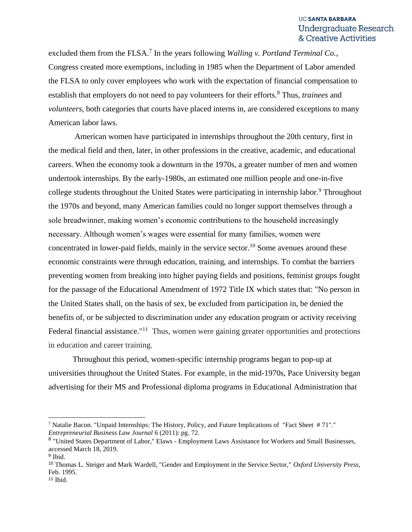excluded them from the FLSA.<sup>7</sup> In the years following *Walling v. Portland Terminal Co.*, Congress created more exemptions, including in 1985 when the Department of Labor amended the FLSA to only cover employees who work with the expectation of financial compensation to establish that employers do not need to pay volunteers for their efforts.<sup>8</sup> Thus, *trainees* and *volunteers*, both categories that courts have placed interns in, are considered exceptions to many American labor laws.

American women have participated in internships throughout the 20th century, first in the medical field and then, later, in other professions in the creative, academic, and educational careers. When the economy took a downturn in the 1970s, a greater number of men and women undertook internships. By the early-1980s, an estimated one million people and one-in-five college students throughout the United States were participating in internship labor.<sup>9</sup> Throughout the 1970s and beyond, many American families could no longer support themselves through a sole breadwinner, making women's economic contributions to the household increasingly necessary. Although women's wages were essential for many families, women were concentrated in lower-paid fields, mainly in the service sector.<sup>10</sup> Some avenues around these economic constraints were through education, training, and internships. To combat the barriers preventing women from breaking into higher paying fields and positions, feminist groups fought for the passage of the Educational Amendment of 1972 Title IX which states that: "No person in the United States shall, on the basis of sex, be excluded from participation in, be denied the benefits of, or be subjected to discrimination under any education program or activity receiving Federal financial assistance."<sup>11</sup> Thus, women were gaining greater opportunities and protections in education and career training.

Throughout this period, women-specific internship programs began to pop-up at universities throughout the United States. For example, in the mid-1970s, Pace University began advertising for their MS and Professional diploma programs in Educational Administration that

<sup>7</sup> Natalie Bacon. "Unpaid Internships: The History, Policy, and Future Implications of "Fact Sheet # 71"." *Entrepreneurial Business Law Journal* 6 (2011): pg. 72.

<sup>&</sup>lt;sup>8</sup> "United States Department of Labor," Elaws - Employment Laws Assistance for Workers and Small Businesses, accessed March 18, 2019.

<sup>&</sup>lt;sup>9</sup> Ibid.

<sup>10</sup> Thomas L. Steiger and Mark Wardell, "Gender and Employment in the Service Sector," *Oxford University Press*, Feb. 1995.

 $11$  Ibid.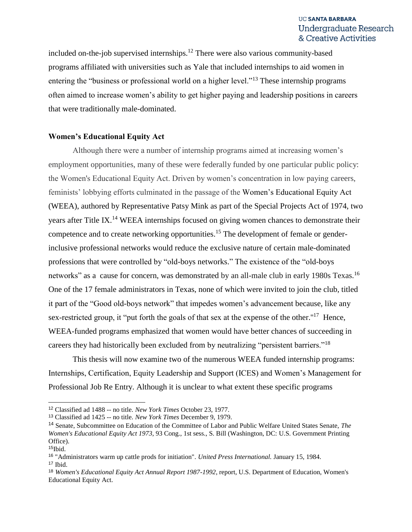included on-the-job supervised internships.<sup>12</sup> There were also various community-based programs affiliated with universities such as Yale that included internships to aid women in entering the "business or professional world on a higher level."<sup>13</sup> These internship programs often aimed to increase women's ability to get higher paying and leadership positions in careers that were traditionally male-dominated.

# **Women's Educational Equity Act**

Although there were a number of internship programs aimed at increasing women's employment opportunities, many of these were federally funded by one particular public policy: the Women's Educational Equity Act. Driven by women's concentration in low paying careers, feminists' lobbying efforts culminated in the passage of the Women's Educational Equity Act (WEEA), authored by Representative Patsy Mink as part of the Special Projects Act of 1974, two years after Title IX.<sup>14</sup> WEEA internships focused on giving women chances to demonstrate their competence and to create networking opportunities.<sup>15</sup> The development of female or genderinclusive professional networks would reduce the exclusive nature of certain male-dominated professions that were controlled by "old-boys networks." The existence of the "old-boys networks" as a cause for concern, was demonstrated by an all-male club in early 1980s Texas.<sup>16</sup> One of the 17 female administrators in Texas, none of which were invited to join the club, titled it part of the "Good old-boys network" that impedes women's advancement because, like any sex-restricted group, it "put forth the goals of that sex at the expense of the other."<sup>17</sup> Hence, WEEA-funded programs emphasized that women would have better chances of succeeding in careers they had historically been excluded from by neutralizing "persistent barriers."<sup>18</sup>

This thesis will now examine two of the numerous WEEA funded internship programs: Internships, Certification, Equity Leadership and Support (ICES) and Women's Management for Professional Job Re Entry. Although it is unclear to what extent these specific programs

<sup>12</sup> Classified ad 1488 -- no title. *New York Times* October 23, 1977.

<sup>13</sup> Classified ad 1425 -- no title. *New York Times* December 9, 1979.

<sup>14</sup> Senate, Subcommittee on Education of the Committee of Labor and Public Welfare United States Senate, *The Women's Educational Equity Act 1973*, 93 Cong., 1st sess., S. Bill (Washington, DC: U.S. Government Printing Office).

 $15$ Ibid.

<sup>16</sup> "Administrators warm up cattle prods for initiation". *United Press International.* January 15, 1984.  $17$  Ibid.

<sup>18</sup> *Women's Educational Equity Act Annual Report 1987-1992*, report, U.S. Department of Education, Women's Educational Equity Act.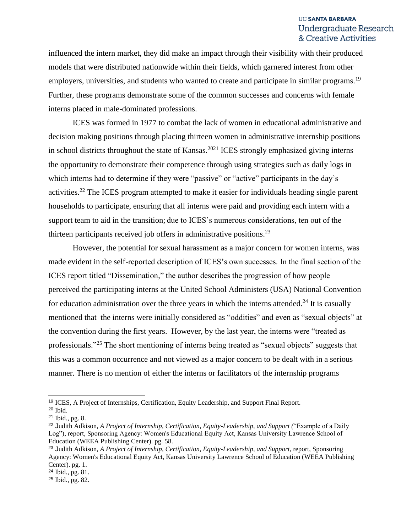influenced the intern market, they did make an impact through their visibility with their produced models that were distributed nationwide within their fields, which garnered interest from other employers, universities, and students who wanted to create and participate in similar programs.<sup>19</sup> Further, these programs demonstrate some of the common successes and concerns with female interns placed in male-dominated professions.

ICES was formed in 1977 to combat the lack of women in educational administrative and decision making positions through placing thirteen women in administrative internship positions in school districts throughout the state of Kansas.<sup>2021</sup> ICES strongly emphasized giving interns the opportunity to demonstrate their competence through using strategies such as daily logs in which interns had to determine if they were "passive" or "active" participants in the day's activities.<sup>22</sup> The ICES program attempted to make it easier for individuals heading single parent households to participate, ensuring that all interns were paid and providing each intern with a support team to aid in the transition; due to ICES's numerous considerations, ten out of the thirteen participants received job offers in administrative positions.<sup>23</sup>

However, the potential for sexual harassment as a major concern for women interns, was made evident in the self-reported description of ICES's own successes. In the final section of the ICES report titled "Dissemination," the author describes the progression of how people perceived the participating interns at the United School Administers (USA) National Convention for education administration over the three years in which the interns attended.<sup>24</sup> It is casually mentioned that the interns were initially considered as "oddities" and even as "sexual objects" at the convention during the first years. However, by the last year, the interns were "treated as professionals."<sup>25</sup> The short mentioning of interns being treated as "sexual objects" suggests that this was a common occurrence and not viewed as a major concern to be dealt with in a serious manner. There is no mention of either the interns or facilitators of the internship programs

<sup>19</sup> ICES, A Project of Internships, Certification, Equity Leadership, and Support Final Report.

<sup>20</sup> Ibid.

<sup>21</sup> Ibid., pg. 8.

<sup>22</sup> Judith Adkison, *A Project of Internship, Certification, Equity-Leadership, and Support (*"Example of a Daily Log"), report, Sponsoring Agency: Women's Educational Equity Act, Kansas University Lawrence School of Education (WEEA Publishing Center). pg. 58.

<sup>23</sup> Judith Adkison, *A Project of Internship, Certification, Equity-Leadership, and Support*, report, Sponsoring Agency: Women's Educational Equity Act, Kansas University Lawrence School of Education (WEEA Publishing Center). pg. 1.

<sup>24</sup> Ibid., pg. 81.

<sup>25</sup> Ibid., pg. 82.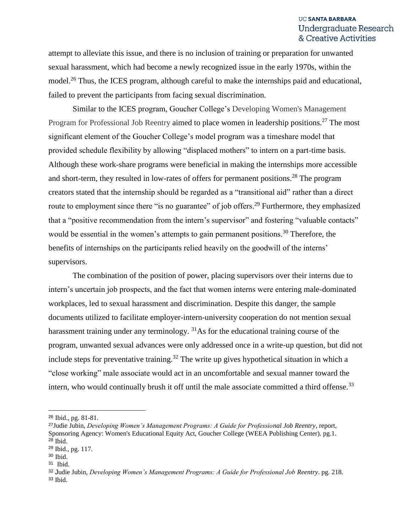attempt to alleviate this issue, and there is no inclusion of training or preparation for unwanted sexual harassment, which had become a newly recognized issue in the early 1970s, within the model.<sup>26</sup> Thus, the ICES program, although careful to make the internships paid and educational, failed to prevent the participants from facing sexual discrimination.

Similar to the ICES program, Goucher College's Developing Women's Management Program for Professional Job Reentry aimed to place women in leadership positions.<sup>27</sup> The most significant element of the Goucher College's model program was a timeshare model that provided schedule flexibility by allowing "displaced mothers" to intern on a part-time basis. Although these work-share programs were beneficial in making the internships more accessible and short-term, they resulted in low-rates of offers for permanent positions.<sup>28</sup> The program creators stated that the internship should be regarded as a "transitional aid" rather than a direct route to employment since there "is no guarantee" of job offers.<sup>29</sup> Furthermore, they emphasized that a "positive recommendation from the intern's supervisor" and fostering "valuable contacts" would be essential in the women's attempts to gain permanent positions.<sup>30</sup> Therefore, the benefits of internships on the participants relied heavily on the goodwill of the interns' supervisors.

The combination of the position of power, placing supervisors over their interns due to intern's uncertain job prospects, and the fact that women interns were entering male-dominated workplaces, led to sexual harassment and discrimination. Despite this danger, the sample documents utilized to facilitate employer-intern-university cooperation do not mention sexual harassment training under any terminology.  $31\text{As}$  for the educational training course of the program, unwanted sexual advances were only addressed once in a write-up question, but did not include steps for preventative training.<sup>32</sup> The write up gives hypothetical situation in which a "close working" male associate would act in an uncomfortable and sexual manner toward the intern, who would continually brush it off until the male associate committed a third offense.<sup>33</sup>

<sup>26</sup> Ibid., pg. 81-81.

<sup>27</sup>Judie Jubin, *Developing Women's Management Programs: A Guide for Professional Job Reentry*, report, Sponsoring Agency: Women's Educational Equity Act, Goucher College (WEEA Publishing Center). pg.1. <sup>28</sup> Ibid.

<sup>29</sup> Ibid., pg. 117.

<sup>30</sup> Ibid.

<sup>31</sup> Ibid.

<sup>32</sup> Judie Jubin, *Developing Women's Management Programs: A Guide for Professional Job Reentry*. pg. 218. <sup>33</sup> Ibid.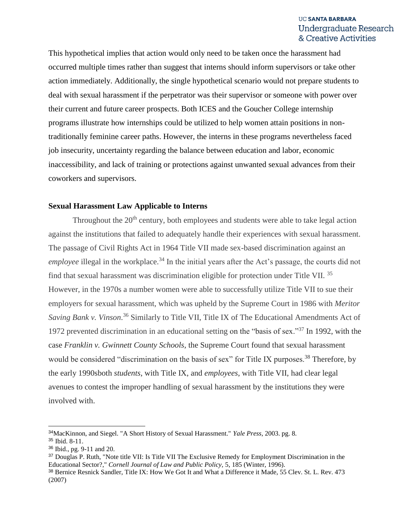This hypothetical implies that action would only need to be taken once the harassment had occurred multiple times rather than suggest that interns should inform supervisors or take other action immediately. Additionally, the single hypothetical scenario would not prepare students to deal with sexual harassment if the perpetrator was their supervisor or someone with power over their current and future career prospects. Both ICES and the Goucher College internship programs illustrate how internships could be utilized to help women attain positions in nontraditionally feminine career paths. However, the interns in these programs nevertheless faced job insecurity, uncertainty regarding the balance between education and labor, economic inaccessibility, and lack of training or protections against unwanted sexual advances from their coworkers and supervisors.

#### **Sexual Harassment Law Applicable to Interns**

Throughout the  $20<sup>th</sup>$  century, both employees and students were able to take legal action against the institutions that failed to adequately handle their experiences with sexual harassment. The passage of Civil Rights Act in 1964 Title VII made sex-based discrimination against an *employee* illegal in the workplace.<sup>34</sup> In the initial years after the Act's passage, the courts did not find that sexual harassment was discrimination eligible for protection under Title VII. <sup>35</sup> However, in the 1970s a number women were able to successfully utilize Title VII to sue their employers for sexual harassment, which was upheld by the Supreme Court in 1986 with *Meritor*  Saving Bank v. Vinson.<sup>36</sup> Similarly to Title VII, Title IX of The Educational Amendments Act of 1972 prevented discrimination in an educational setting on the "basis of sex."<sup>37</sup> In 1992, with the case *Franklin v. Gwinnett County Schools,* the Supreme Court found that sexual harassment would be considered "discrimination on the basis of sex" for Title IX purposes.<sup>38</sup> Therefore, by the early 1990sboth *students*, with Title IX, and *employees*, with Title VII, had clear legal avenues to contest the improper handling of sexual harassment by the institutions they were involved with.

<sup>34</sup>MacKinnon, and Siegel. "A Short History of Sexual Harassment." *Yale Press*, 2003. pg. 8. <sup>35</sup> Ibid. 8-11.

<sup>36</sup> Ibid., pg. 9-11 and 20.

<sup>37</sup> Douglas P. Ruth, "Note title VII: Is Title VII The Exclusive Remedy for Employment Discrimination in the Educational Sector?," *Cornell Journal of Law and Public Policy,* 5, 185 (Winter, 1996).

<sup>38</sup> Bernice Resnick Sandler, Title IX: How We Got It and What a Difference it Made, 55 Clev. St. L. Rev. 473 (2007)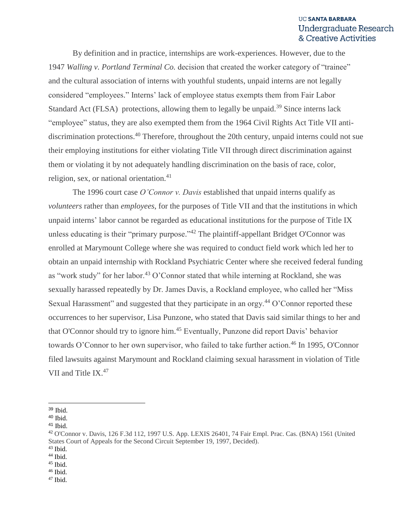By definition and in practice, internships are work-experiences. However, due to the 1947 *Walling v. Portland Terminal Co.* decision that created the worker category of "trainee" and the cultural association of interns with youthful students, unpaid interns are not legally considered "employees." Interns' lack of employee status exempts them from Fair Labor Standard Act (FLSA) protections, allowing them to legally be unpaid.<sup>39</sup> Since interns lack "employee" status, they are also exempted them from the 1964 Civil Rights Act Title VII antidiscrimination protections.<sup>40</sup> Therefore, throughout the 20th century, unpaid interns could not sue their employing institutions for either violating Title VII through direct discrimination against them or violating it by not adequately handling discrimination on the basis of race, color, religion, sex, or national orientation. $41$ 

The 1996 court case *O'Connor v. Davis* established that unpaid interns qualify as *volunteers* rather than *employees*, for the purposes of Title VII and that the institutions in which unpaid interns' labor cannot be regarded as educational institutions for the purpose of Title IX unless educating is their "primary purpose."<sup>42</sup> The plaintiff-appellant Bridget O'Connor was enrolled at Marymount College where she was required to conduct field work which led her to obtain an unpaid internship with Rockland Psychiatric Center where she received federal funding as "work study" for her labor.<sup>43</sup> O'Connor stated that while interning at Rockland, she was sexually harassed repeatedly by Dr. James Davis, a Rockland employee, who called her "Miss Sexual Harassment" and suggested that they participate in an orgy.<sup>44</sup> O'Connor reported these occurrences to her supervisor, Lisa Punzone, who stated that Davis said similar things to her and that O'Connor should try to ignore him.<sup>45</sup> Eventually, Punzone did report Davis' behavior towards O'Connor to her own supervisor, who failed to take further action.<sup>46</sup> In 1995, O'Connor filed lawsuits against Marymount and Rockland claiming sexual harassment in violation of Title VII and Title IX.<sup>47</sup>

 <sup>39</sup> Ibid.

<sup>40</sup> Ibid.

<sup>41</sup> Ibid.

<sup>42</sup> O'Connor v. Davis, 126 F.3d 112, 1997 U.S. App. LEXIS 26401, 74 Fair Empl. Prac. Cas. (BNA) 1561 (United States Court of Appeals for the Second Circuit September 19, 1997, Decided).

 $43$  Ibid.

<sup>44</sup> Ibid. <sup>45</sup> Ibid.

 $46$  Ibid.

 $47$  Ibid.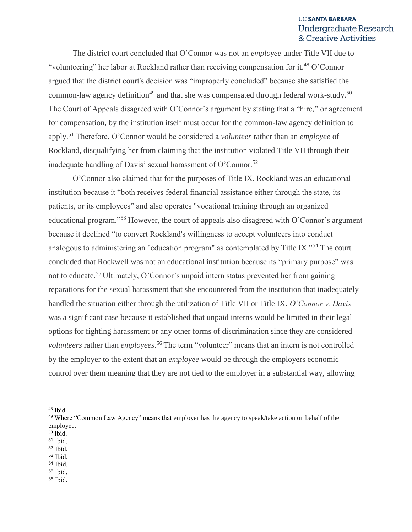The district court concluded that O'Connor was not an *employee* under Title VII due to "volunteering" her labor at Rockland rather than receiving compensation for it.<sup>48</sup> O'Connor argued that the district court's decision was "improperly concluded" because she satisfied the common-law agency definition<sup>49</sup> and that she was compensated through federal work-study.<sup>50</sup> The Court of Appeals disagreed with O'Connor's argument by stating that a "hire," or agreement for compensation, by the institution itself must occur for the common-law agency definition to apply.<sup>51</sup> Therefore, O'Connor would be considered a *volunteer* rather than an *employee* of Rockland, disqualifying her from claiming that the institution violated Title VII through their inadequate handling of Davis' sexual harassment of O'Connor.<sup>52</sup>

O'Connor also claimed that for the purposes of Title IX, Rockland was an educational institution because it "both receives federal financial assistance either through the state, its patients, or its employees" and also operates "vocational training through an organized educational program."<sup>53</sup> However, the court of appeals also disagreed with O'Connor's argument because it declined "to convert Rockland's willingness to accept volunteers into conduct analogous to administering an "education program" as contemplated by Title IX."<sup>54</sup> The court concluded that Rockwell was not an educational institution because its "primary purpose" was not to educate.<sup>55</sup> Ultimately, O'Connor's unpaid intern status prevented her from gaining reparations for the sexual harassment that she encountered from the institution that inadequately handled the situation either through the utilization of Title VII or Title IX. *O'Connor v. Davis*  was a significant case because it established that unpaid interns would be limited in their legal options for fighting harassment or any other forms of discrimination since they are considered *volunteers* rather than *employees*. <sup>56</sup> The term "volunteer" means that an intern is not controlled by the employer to the extent that an *employee* would be through the employers economic control over them meaning that they are not tied to the employer in a substantial way, allowing

- $50$  Ibid.
- <sup>51</sup> Ibid.
- <sup>52</sup> Ibid.
- <sup>53</sup> Ibid. <sup>54</sup> Ibid.
- <sup>55</sup> Ibid.
- <sup>56</sup> Ibid.

<sup>48</sup> Ibid.

<sup>&</sup>lt;sup>49</sup> Where "Common Law Agency" means that employer has the agency to speak/take action on behalf of the employee.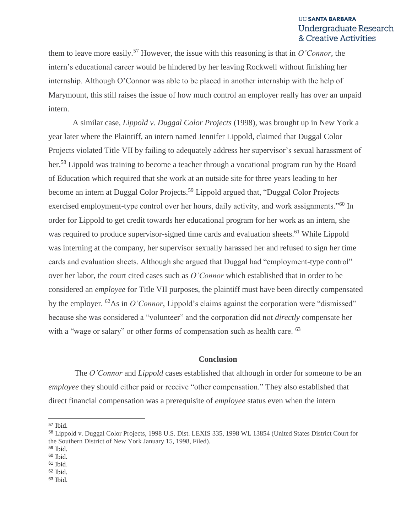them to leave more easily.<sup>57</sup> However, the issue with this reasoning is that in *O'Connor*, the intern's educational career would be hindered by her leaving Rockwell without finishing her internship. Although O'Connor was able to be placed in another internship with the help of Marymount, this still raises the issue of how much control an employer really has over an unpaid intern.

A similar case, *Lippold v. Duggal Color Projects* (1998), was brought up in New York a year later where the Plaintiff, an intern named Jennifer Lippold, claimed that Duggal Color Projects violated Title VII by failing to adequately address her supervisor's sexual harassment of her.<sup>58</sup> Lippold was training to become a teacher through a vocational program run by the Board of Education which required that she work at an outside site for three years leading to her become an intern at Duggal Color Projects.<sup>59</sup> Lippold argued that, "Duggal Color Projects" exercised employment-type control over her hours, daily activity, and work assignments."<sup>60</sup> In order for Lippold to get credit towards her educational program for her work as an intern, she was required to produce supervisor-signed time cards and evaluation sheets.<sup>61</sup> While Lippold was interning at the company, her supervisor sexually harassed her and refused to sign her time cards and evaluation sheets. Although she argued that Duggal had "employment-type control" over her labor, the court cited cases such as *O'Connor* which established that in order to be considered an *employee* for Title VII purposes, the plaintiff must have been directly compensated by the employer. <sup>62</sup>As in *O'Connor*, Lippold's claims against the corporation were "dismissed" because she was considered a "volunteer" and the corporation did not *directly* compensate her with a "wage or salary" or other forms of compensation such as health care. <sup>63</sup>

#### **Conclusion**

The *O'Connor* and *Lippold* cases established that although in order for someone to be an *employee* they should either paid or receive "other compensation." They also established that direct financial compensation was a prerequisite of *employee* status even when the intern

<sup>57</sup> Ibid.

<sup>58</sup> Lippold v. Duggal Color Projects, 1998 U.S. Dist. LEXIS 335, 1998 WL 13854 (United States District Court for the Southern District of New York January 15, 1998, Filed).

<sup>59</sup> Ibid.

 $60$  Ibid.

<sup>61</sup> Ibid.

<sup>62</sup> Ibid.

<sup>63</sup> Ibid.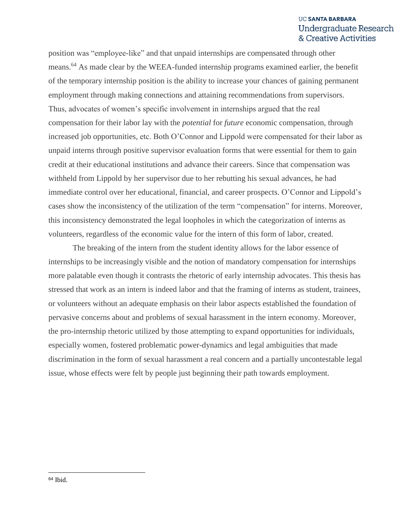position was "employee-like" and that unpaid internships are compensated through other means.<sup>64</sup> As made clear by the WEEA-funded internship programs examined earlier, the benefit of the temporary internship position is the ability to increase your chances of gaining permanent employment through making connections and attaining recommendations from supervisors. Thus, advocates of women's specific involvement in internships argued that the real compensation for their labor lay with the *potential* for *future* economic compensation, through increased job opportunities, etc. Both O'Connor and Lippold were compensated for their labor as unpaid interns through positive supervisor evaluation forms that were essential for them to gain credit at their educational institutions and advance their careers. Since that compensation was withheld from Lippold by her supervisor due to her rebutting his sexual advances, he had immediate control over her educational, financial, and career prospects. O'Connor and Lippold's cases show the inconsistency of the utilization of the term "compensation" for interns. Moreover, this inconsistency demonstrated the legal loopholes in which the categorization of interns as volunteers, regardless of the economic value for the intern of this form of labor, created.

The breaking of the intern from the student identity allows for the labor essence of internships to be increasingly visible and the notion of mandatory compensation for internships more palatable even though it contrasts the rhetoric of early internship advocates. This thesis has stressed that work as an intern is indeed labor and that the framing of interns as student, trainees, or volunteers without an adequate emphasis on their labor aspects established the foundation of pervasive concerns about and problems of sexual harassment in the intern economy. Moreover, the pro-internship rhetoric utilized by those attempting to expand opportunities for individuals, especially women, fostered problematic power-dynamics and legal ambiguities that made discrimination in the form of sexual harassment a real concern and a partially uncontestable legal issue, whose effects were felt by people just beginning their path towards employment.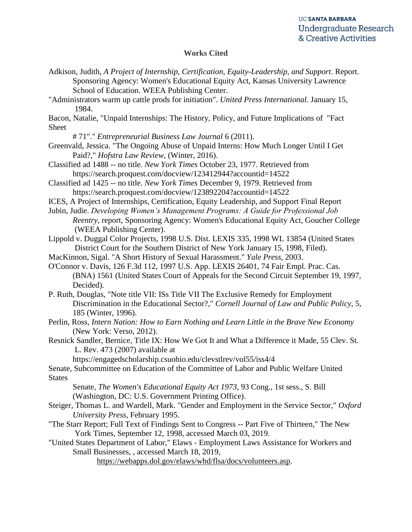#### **Works Cited**

- Adkison, Judith, *A Project of Internship, Certification, Equity-Leadership, and Support*. Report. Sponsoring Agency: Women's Educational Equity Act, Kansas University Lawrence School of Education. WEEA Publishing Center.
- "Administrators warm up cattle prods for initiation". *United Press International.* January 15, 1984.

Bacon, Natalie, "Unpaid Internships: The History, Policy, and Future Implications of "Fact Sheet

# 71"." *Entrepreneurial Business Law Journal* 6 (2011).

- Greenvald, Jessica. "The Ongoing Abuse of Unpaid Interns: How Much Longer Until I Get Paid?," *Hofstra Law Review,* (Winter, 2016).
- Classified ad 1488 -- no title. *New York Times* October 23, 1977. Retrieved from <https://search.proquest.com/docview/123412944?accountid=14522>
- Classified ad 1425 -- no title. *New York Times* December 9, 1979. Retrieved from https://search.proquest.com/docview/123892204?accountid=14522
- ICES, A Project of Internships, Certification, Equity Leadership, and Support Final Report
- Jubin, Judie. *Developing Women's Management Programs: A Guide for Professional Job Reentry*, report, Sponsoring Agency: Women's Educational Equity Act, Goucher College (WEEA Publishing Center).
- Lippold v. Duggal Color Projects, 1998 U.S. Dist. LEXIS 335, 1998 WL 13854 (United States District Court for the Southern District of New York January 15, 1998, Filed).
- MacKinnon, Sigal. "A Short History of Sexual Harassment." *Yale Press*, 2003.
- O'Connor v. Davis, 126 F.3d 112, 1997 U.S. App. LEXIS 26401, 74 Fair Empl. Prac. Cas. (BNA) 1561 (United States Court of Appeals for the Second Circuit September 19, 1997, Decided).
- P. Ruth, Douglas, "Note title VII: ISs Title VII The Exclusive Remedy for Employment Discrimination in the Educational Sector?," *Cornell Journal of Law and Public Policy,* 5, 185 (Winter, 1996).
- Perlin, Ross, *Intern Nation: How to Earn Nothing and Learn Little in the Brave New Economy* (New York: Verso, 2012).
- Resnick Sandler, Bernice, Title IX: How We Got It and What a Difference it Made, 55 Clev. St. L. Rev. 473 (2007) available at

https://engagedscholarship.csuohio.edu/clevstlrev/vol55/iss4/4

Senate, Subcommittee on Education of the Committee of Labor and Public Welfare United **States** 

Senate, *The Women's Educational Equity Act 1973*, 93 Cong., 1st sess., S. Bill (Washington, DC: U.S. Government Printing Office).

- Steiger, Thomas L. and Wardell, Mark. "Gender and Employment in the Service Sector," *Oxford University Press*, February 1995.
- "The Starr Report; Full Text of Findings Sent to Congress -- Part Five of Thirteen," The New York Times, September 12, 1998, accessed March 03, 2019.
- "United States Department of Labor," Elaws Employment Laws Assistance for Workers and Small Businesses, , accessed March 18, 2019,

[https://webapps.dol.gov/elaws/whd/flsa/docs/volunteers.asp.](https://webapps.dol.gov/elaws/whd/flsa/docs/volunteers.asp)